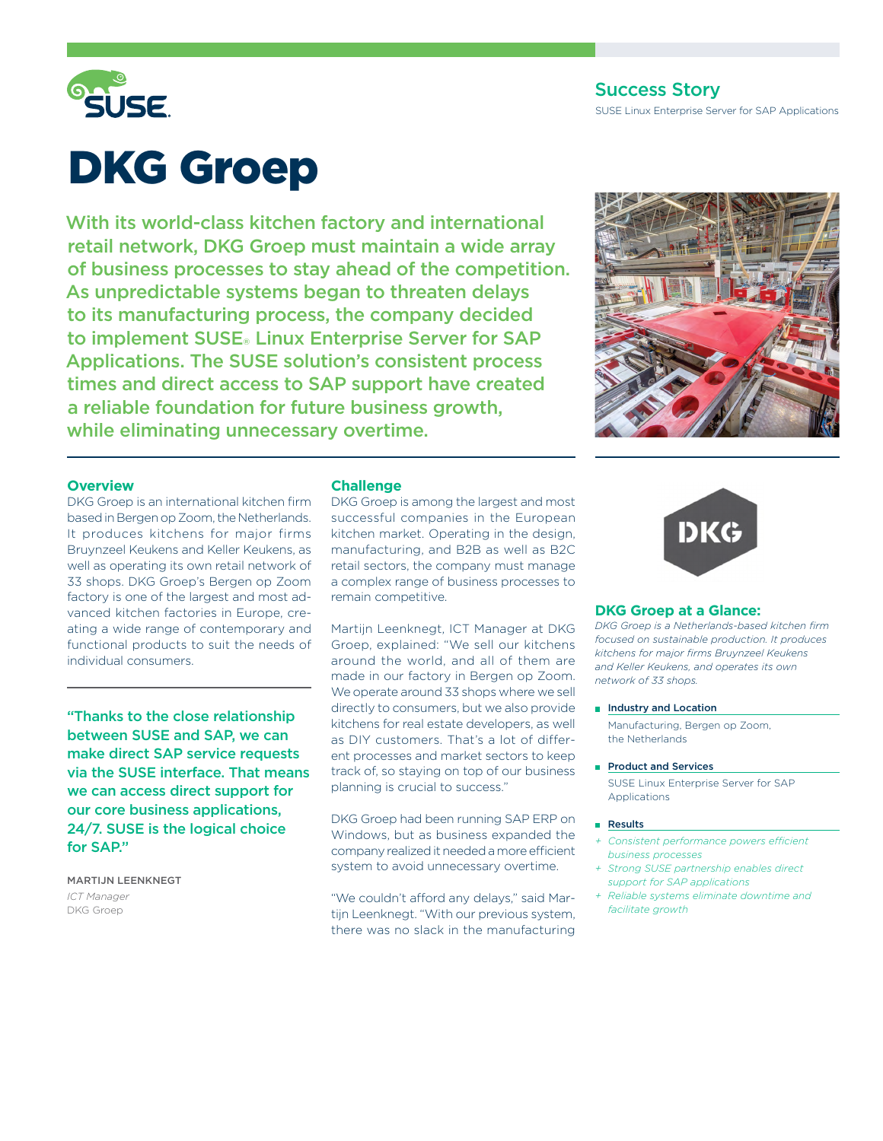

# Success Story

SUSE Linux Enterprise Server for SAP Applications

# DKG Groep

With its world-class kitchen factory and international retail network, DKG Groep must maintain a wide array of business processes to stay ahead of the competition. As unpredictable systems began to threaten delays to its manufacturing process, the company decided to implement SUSE® Linux Enterprise Server for SAP Applications. The SUSE solution's consistent process times and direct access to SAP support have created a reliable foundation for future business growth, while eliminating unnecessary overtime.



#### **Overview**

DKG Groep is an international kitchen firm based in Bergen op Zoom, the Netherlands. It produces kitchens for major firms Bruynzeel Keukens and Keller Keukens, as well as operating its own retail network of 33 shops. DKG Groep's Bergen op Zoom factory is one of the largest and most advanced kitchen factories in Europe, creating a wide range of contemporary and functional products to suit the needs of individual consumers.

"Thanks to the close relationship between SUSE and SAP, we can make direct SAP service requests via the SUSE interface. That means we can access direct support for our core business applications, 24/7. SUSE is the logical choice for SAP."

Martijn Leenknegt *ICT Manager* DKG Groep

## **Challenge**

DKG Groep is among the largest and most successful companies in the European kitchen market. Operating in the design, manufacturing, and B2B as well as B2C retail sectors, the company must manage a complex range of business processes to remain competitive.

Martijn Leenknegt, ICT Manager at DKG Groep, explained: "We sell our kitchens around the world, and all of them are made in our factory in Bergen op Zoom. We operate around 33 shops where we sell directly to consumers, but we also provide kitchens for real estate developers, as well as DIY customers. That's a lot of different processes and market sectors to keep track of, so staying on top of our business planning is crucial to success."

DKG Groep had been running SAP ERP on Windows, but as business expanded the company realized it needed a more efficient system to avoid unnecessary overtime.

"We couldn't afford any delays," said Martijn Leenknegt. "With our previous system, there was no slack in the manufacturing



#### **DKG Groep at a Glance:**

*DKG Groep is a Netherlands-based kitchen firm focused on sustainable production. It produces kitchens for major firms Bruynzeel Keukens and Keller Keukens, and operates its own network of 33 shops.*

**Industry and Location** 

 Manufacturing, Bergen op Zoom, the Netherlands

#### Product and Services

 SUSE Linux Enterprise Server for SAP **Applications** 

#### **Results**

- *+ Consistent performance powers efficient business processes*
- *+ Strong SUSE partnership enables direct support for SAP applications*
- *+ Reliable systems eliminate downtime and facilitate growth*